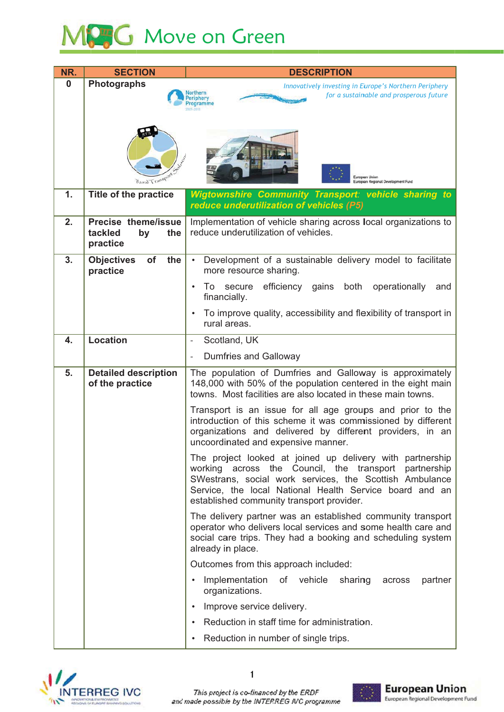## MPG Move on Green

| NR.              | <b>SECTION</b>                                 | <b>DESCRIPTION</b>                                                                                                           |
|------------------|------------------------------------------------|------------------------------------------------------------------------------------------------------------------------------|
| $\boldsymbol{0}$ | <b>Photographs</b>                             | Innovatively investing in Europe's Northern Periphery                                                                        |
|                  |                                                | for a sustainable and prosperous future                                                                                      |
|                  |                                                |                                                                                                                              |
|                  |                                                |                                                                                                                              |
|                  |                                                |                                                                                                                              |
|                  |                                                |                                                                                                                              |
|                  |                                                | European Union                                                                                                               |
|                  | Rural Transpe                                  | European Regional Development Fund                                                                                           |
| 1.               | Title of the practice                          | <b>Wigtownshire Community Transport: vehicle sharing to</b><br>reduce underutilization of vehicles (P5)                      |
| 2.               | Precise theme/issue<br>tackled<br>the          | Implementation of vehicle sharing across local organizations to<br>reduce underutilization of vehicles.                      |
|                  | by<br>practice                                 |                                                                                                                              |
| 3.               | the<br><b>Objectives</b><br>of                 | Development of a sustainable delivery model to facilitate                                                                    |
|                  | practice                                       | more resource sharing.                                                                                                       |
|                  |                                                | efficiency gains both<br>operationally<br>To secure<br>and<br>$\bullet$                                                      |
|                  |                                                | financially.                                                                                                                 |
|                  |                                                | To improve quality, accessibility and flexibility of transport in                                                            |
|                  |                                                | rural areas.                                                                                                                 |
| 4.               | <b>Location</b>                                | Scotland, UK<br>$\overline{a}$                                                                                               |
|                  |                                                | Dumfries and Galloway                                                                                                        |
| 5.               | <b>Detailed description</b><br>of the practice | The population of Dumfries and Galloway is approximately<br>148,000 with 50% of the population centered in the eight main    |
|                  |                                                | towns. Most facilities are also located in these main towns.                                                                 |
|                  |                                                | Transport is an issue for all age groups and prior to the<br>introduction of this scheme it was commissioned by different    |
|                  |                                                | organizations and delivered by different providers, in an                                                                    |
|                  |                                                | uncoordinated and expensive manner.                                                                                          |
|                  |                                                | The project looked at joined up delivery with partnership                                                                    |
|                  |                                                | working across the Council, the transport partnership<br>SWestrans, social work services, the Scottish Ambulance             |
|                  |                                                | Service, the local National Health Service board and an                                                                      |
|                  |                                                | established community transport provider.                                                                                    |
|                  |                                                | The delivery partner was an established community transport                                                                  |
|                  |                                                | operator who delivers local services and some health care and<br>social care trips. They had a booking and scheduling system |
|                  |                                                | already in place.                                                                                                            |
|                  |                                                | Outcomes from this approach included:                                                                                        |
|                  |                                                | Implementation of vehicle sharing<br>partner<br>$\bullet$<br>across<br>organizations.                                        |
|                  |                                                | Improve service delivery.                                                                                                    |
|                  |                                                | Reduction in staff time for administration.                                                                                  |
|                  |                                                | Reduction in number of single trips.                                                                                         |
|                  |                                                |                                                                                                                              |



 $\mathbf{1}$